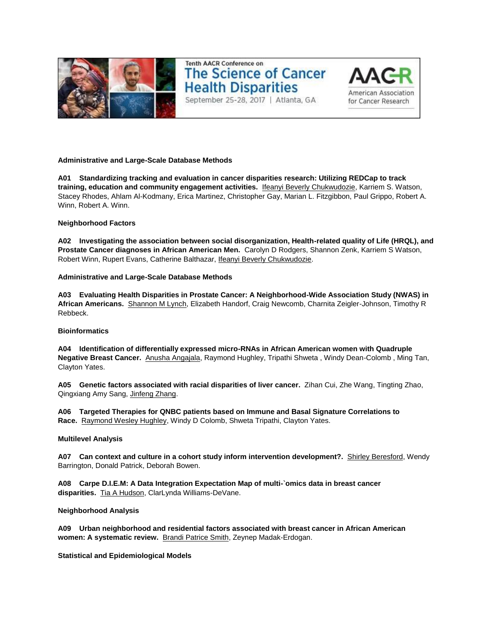

# **Tenth AACR Conference on The Science of Cancer Health Disparities** September 25-28, 2017 | Atlanta, GA



# **Administrative and Large-Scale Database Methods**

**A01 Standardizing tracking and evaluation in cancer disparities research: Utilizing REDCap to track training, education and community engagement activities.** Ifeanyi Beverly Chukwudozie, Karriem S. Watson, Stacey Rhodes, Ahlam Al-Kodmany, Erica Martinez, Christopher Gay, Marian L. Fitzgibbon, Paul Grippo, Robert A. Winn, Robert A. Winn.

# **Neighborhood Factors**

**A02 Investigating the association between social disorganization, Health-related quality of Life (HRQL), and Prostate Cancer diagnoses in African American Men.** Carolyn D Rodgers, Shannon Zenk, Karriem S Watson, Robert Winn, Rupert Evans, Catherine Balthazar, Ifeanyi Beverly Chukwudozie.

# **Administrative and Large-Scale Database Methods**

**A03 Evaluating Health Disparities in Prostate Cancer: A Neighborhood-Wide Association Study (NWAS) in African Americans.** Shannon M Lynch, Elizabeth Handorf, Craig Newcomb, Charnita Zeigler-Johnson, Timothy R Rebbeck.

# **Bioinformatics**

**A04 Identification of differentially expressed micro-RNAs in African American women with Quadruple Negative Breast Cancer.** Anusha Angajala, Raymond Hughley, Tripathi Shweta , Windy Dean-Colomb , Ming Tan, Clayton Yates.

**A05 Genetic factors associated with racial disparities of liver cancer.** Zihan Cui, Zhe Wang, Tingting Zhao, Qingxiang Amy Sang, Jinfeng Zhang.

**A06 Targeted Therapies for QNBC patients based on Immune and Basal Signature Correlations to Race.** Raymond Wesley Hughley, Windy D Colomb, Shweta Tripathi, Clayton Yates.

# **Multilevel Analysis**

**A07 Can context and culture in a cohort study inform intervention development?.** Shirley Beresford, Wendy Barrington, Donald Patrick, Deborah Bowen.

**A08 Carpe D.I.E.M: A Data Integration Expectation Map of multi-`omics data in breast cancer disparities.** Tia A Hudson, ClarLynda Williams-DeVane.

# **Neighborhood Analysis**

**A09 Urban neighborhood and residential factors associated with breast cancer in African American women: A systematic review.** Brandi Patrice Smith, Zeynep Madak-Erdogan.

**Statistical and Epidemiological Models**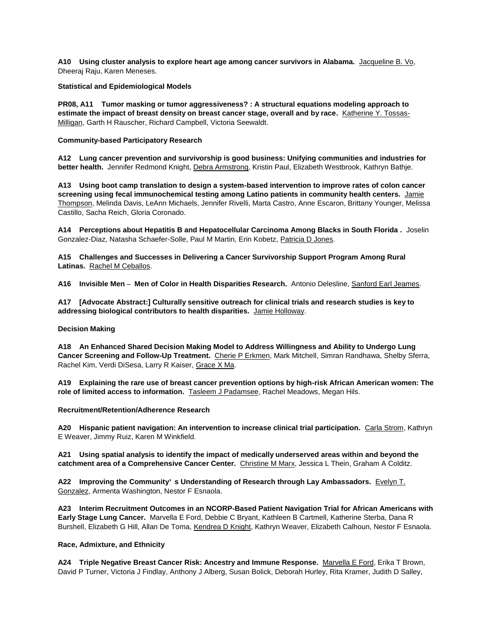**A10 Using cluster analysis to explore heart age among cancer survivors in Alabama.** Jacqueline B. Vo, Dheeraj Raju, Karen Meneses.

**Statistical and Epidemiological Models**

**PR08, A11 Tumor masking or tumor aggressiveness? : A structural equations modeling approach to estimate the impact of breast density on breast cancer stage, overall and by race.** Katherine Y. Tossas-Milligan, Garth H Rauscher, Richard Campbell, Victoria Seewaldt.

### **Community-based Participatory Research**

**A12 Lung cancer prevention and survivorship is good business: Unifying communities and industries for better health.** Jennifer Redmond Knight, Debra Armstrong, Kristin Paul, Elizabeth Westbrook, Kathryn Bathje.

**A13 Using boot camp translation to design a system-based intervention to improve rates of colon cancer screening using fecal immunochemical testing among Latino patients in community health centers.** Jamie Thompson, Melinda Davis, LeAnn Michaels, Jennifer Rivelli, Marta Castro, Anne Escaron, Brittany Younger, Melissa Castillo, Sacha Reich, Gloria Coronado.

**A14 Perceptions about Hepatitis B and Hepatocellular Carcinoma Among Blacks in South Florida .** Joselin Gonzalez-Diaz, Natasha Schaefer-Solle, Paul M Martin, Erin Kobetz, Patricia D Jones.

**A15 Challenges and Successes in Delivering a Cancer Survivorship Support Program Among Rural Latinas.** Rachel M Ceballos.

**A16 Invisible Men – Men of Color in Health Disparities Research.** Antonio Delesline, Sanford Earl Jeames.

**A17 [Advocate Abstract:] Culturally sensitive outreach for clinical trials and research studies is key to addressing biological contributors to health disparities.** Jamie Holloway.

# **Decision Making**

**A18 An Enhanced Shared Decision Making Model to Address Willingness and Ability to Undergo Lung Cancer Screening and Follow-Up Treatment.** Cherie P Erkmen, Mark Mitchell, Simran Randhawa, Shelby Sferra, Rachel Kim, Verdi DiSesa, Larry R Kaiser, Grace X Ma.

**A19 Explaining the rare use of breast cancer prevention options by high-risk African American women: The role of limited access to information.** Tasleem J Padamsee, Rachel Meadows, Megan Hils.

**Recruitment/Retention/Adherence Research**

**A20 Hispanic patient navigation: An intervention to increase clinical trial participation.** Carla Strom, Kathryn E Weaver, Jimmy Ruiz, Karen M Winkfield.

**A21 Using spatial analysis to identify the impact of medically underserved areas within and beyond the catchment area of a Comprehensive Cancer Center.** Christine M Marx, Jessica L Thein, Graham A Colditz.

**A22 Improving the Community' s Understanding of Research through Lay Ambassadors.** Evelyn T. Gonzalez, Armenta Washington, Nestor F Esnaola.

**A23 Interim Recruitment Outcomes in an NCORP-Based Patient Navigation Trial for African Americans with Early Stage Lung Cancer.** Marvella E Ford, Debbie C Bryant, Kathleen B Cartmell, Katherine Sterba, Dana R Burshell, Elizabeth G Hill, Allan De Toma, Kendrea D Knight, Kathryn Weaver, Elizabeth Calhoun, Nestor F Esnaola.

# **Race, Admixture, and Ethnicity**

**A24 Triple Negative Breast Cancer Risk: Ancestry and Immune Response.** Marvella E Ford, Erika T Brown, David P Turner, Victoria J Findlay, Anthony J Alberg, Susan Bolick, Deborah Hurley, Rita Kramer, Judith D Salley,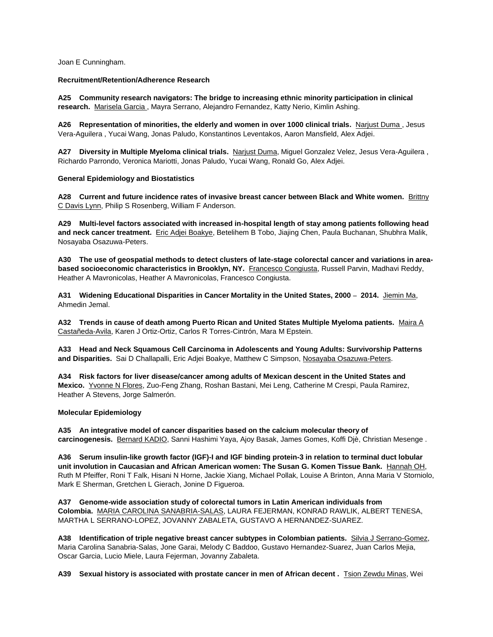Joan E Cunningham.

### **Recruitment/Retention/Adherence Research**

**A25 Community research navigators: The bridge to increasing ethnic minority participation in clinical research.** Marisela Garcia , Mayra Serrano, Alejandro Fernandez, Katty Nerio, Kimlin Ashing.

**A26 Representation of minorities, the elderly and women in over 1000 clinical trials.** Narjust Duma , Jesus Vera-Aguilera , Yucai Wang, Jonas Paludo, Konstantinos Leventakos, Aaron Mansfield, Alex Adjei.

**A27 Diversity in Multiple Myeloma clinical trials.** Narjust Duma, Miguel Gonzalez Velez, Jesus Vera-Aguilera , Richardo Parrondo, Veronica Mariotti, Jonas Paludo, Yucai Wang, Ronald Go, Alex Adjei.

# **General Epidemiology and Biostatistics**

**A28 Current and future incidence rates of invasive breast cancer between Black and White women.** Brittny C Davis Lynn, Philip S Rosenberg, William F Anderson.

**A29 Multi-level factors associated with increased in-hospital length of stay among patients following head and neck cancer treatment.** Eric Adjei Boakye, Betelihem B Tobo, Jiajing Chen, Paula Buchanan, Shubhra Malik, Nosayaba Osazuwa-Peters.

**A30 The use of geospatial methods to detect clusters of late-stage colorectal cancer and variations in areabased socioeconomic characteristics in Brooklyn, NY.** Francesco Congiusta, Russell Parvin, Madhavi Reddy, Heather A Mavronicolas, Heather A Mavronicolas, Francesco Congiusta.

**A31 Widening Educational Disparities in Cancer Mortality in the United States, 2000 – 2014.** Jiemin Ma, Ahmedin Jemal.

**A32 Trends in cause of death among Puerto Rican and United States Multiple Myeloma patients.** Maira A Castañeda-Avila, Karen J Ortiz-Ortiz, Carlos R Torres-Cintrón, Mara M Epstein.

**A33 Head and Neck Squamous Cell Carcinoma in Adolescents and Young Adults: Survivorship Patterns and Disparities.** Sai D Challapalli, Eric Adjei Boakye, Matthew C Simpson, Nosayaba Osazuwa-Peters.

**A34 Risk factors for liver disease/cancer among adults of Mexican descent in the United States and Mexico.** Yvonne N Flores, Zuo-Feng Zhang, Roshan Bastani, Mei Leng, Catherine M Crespi, Paula Ramirez, Heather A Stevens, Jorge Salmerón.

#### **Molecular Epidemiology**

**A35 An integrative model of cancer disparities based on the calcium molecular theory of carcinogenesis.** Bernard KADIO, Sanni Hashimi Yaya, Ajoy Basak, James Gomes, Koffi Djè, Christian Mesenge .

**A36 Serum insulin-like growth factor (IGF)-I and IGF binding protein-3 in relation to terminal duct lobular unit involution in Caucasian and African American women: The Susan G. Komen Tissue Bank.** Hannah OH, Ruth M Pfeiffer, Roni T Falk, Hisani N Horne, Jackie Xiang, Michael Pollak, Louise A Brinton, Anna Maria V Storniolo, Mark E Sherman, Gretchen L Gierach, Jonine D Figueroa.

**A37 Genome-wide association study of colorectal tumors in Latin American individuals from Colombia.** MARIA CAROLINA SANABRIA-SALAS, LAURA FEJERMAN, KONRAD RAWLIK, ALBERT TENESA, MARTHA L SERRANO-LOPEZ, JOVANNY ZABALETA, GUSTAVO A HERNANDEZ-SUAREZ.

**A38 Identification of triple negative breast cancer subtypes in Colombian patients.** Silvia J Serrano-Gomez, Maria Carolina Sanabria-Salas, Jone Garai, Melody C Baddoo, Gustavo Hernandez-Suarez, Juan Carlos Mejia, Oscar Garcia, Lucio Miele, Laura Fejerman, Jovanny Zabaleta.

A39 Sexual history is associated with prostate cancer in men of African decent . **Tsion Zewdu Minas, Wei**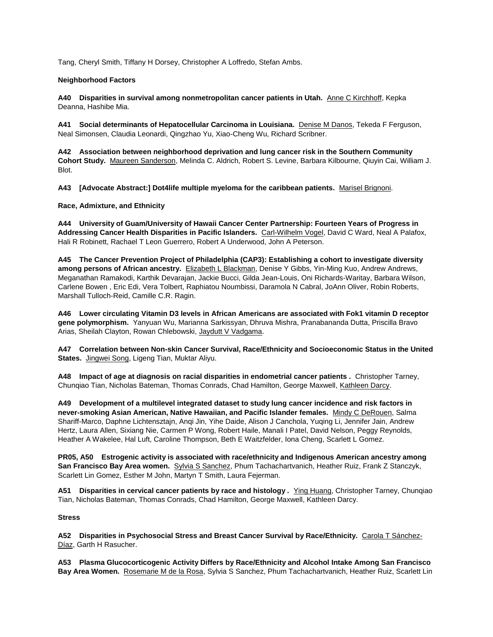Tang, Cheryl Smith, Tiffany H Dorsey, Christopher A Loffredo, Stefan Ambs.

# **Neighborhood Factors**

**A40 Disparities in survival among nonmetropolitan cancer patients in Utah.** Anne C Kirchhoff, Kepka Deanna, Hashibe Mia.

**A41 Social determinants of Hepatocellular Carcinoma in Louisiana.** Denise M Danos, Tekeda F Ferguson, Neal Simonsen, Claudia Leonardi, Qingzhao Yu, Xiao-Cheng Wu, Richard Scribner.

**A42 Association between neighborhood deprivation and lung cancer risk in the Southern Community Cohort Study.** Maureen Sanderson, Melinda C. Aldrich, Robert S. Levine, Barbara Kilbourne, Qiuyin Cai, William J. Blot.

**A43 [Advocate Abstract:] Dot4life multiple myeloma for the caribbean patients.** Marisel Brignoni.

**Race, Admixture, and Ethnicity**

**A44 University of Guam/University of Hawaii Cancer Center Partnership: Fourteen Years of Progress in Addressing Cancer Health Disparities in Pacific Islanders.** Carl-Wilhelm Vogel, David C Ward, Neal A Palafox, Hali R Robinett, Rachael T Leon Guerrero, Robert A Underwood, John A Peterson.

**A45 The Cancer Prevention Project of Philadelphia (CAP3): Establishing a cohort to investigate diversity among persons of African ancestry.** Elizabeth L Blackman, Denise Y Gibbs, Yin-Ming Kuo, Andrew Andrews, Meganathan Ramakodi, Karthik Devarajan, Jackie Bucci, Gilda Jean-Louis, Oni Richards-Waritay, Barbara Wilson, Carlene Bowen , Eric Edi, Vera Tolbert, Raphiatou Noumbissi, Daramola N Cabral, JoAnn Oliver, Robin Roberts, Marshall Tulloch-Reid, Camille C.R. Ragin.

**A46 Lower circulating Vitamin D3 levels in African Americans are associated with Fok1 vitamin D receptor gene polymorphism.** Yanyuan Wu, Marianna Sarkissyan, Dhruva Mishra, Pranabananda Dutta, Priscilla Bravo Arias, Sheilah Clayton, Rowan Chlebowski, Jaydutt V Vadgama.

**A47 Correlation between Non-skin Cancer Survival, Race/Ethnicity and Socioeconomic Status in the United**  States. Jingwei Song, Ligeng Tian, Muktar Aliyu.

**A48 Impact of age at diagnosis on racial disparities in endometrial cancer patients .** Christopher Tarney, Chunqiao Tian, Nicholas Bateman, Thomas Conrads, Chad Hamilton, George Maxwell, Kathleen Darcy.

**A49 Development of a multilevel integrated dataset to study lung cancer incidence and risk factors in never-smoking Asian American, Native Hawaiian, and Pacific Islander females.** Mindy C DeRouen, Salma Shariff-Marco, Daphne Lichtensztajn, Anqi Jin, Yihe Daide, Alison J Canchola, Yuqing Li, Jennifer Jain, Andrew Hertz, Laura Allen, Sixiang Nie, Carmen P Wong, Robert Haile, Manali I Patel, David Nelson, Peggy Reynolds, Heather A Wakelee, Hal Luft, Caroline Thompson, Beth E Waitzfelder, Iona Cheng, Scarlett L Gomez.

**PR05, A50 Estrogenic activity is associated with race/ethnicity and Indigenous American ancestry among San Francisco Bay Area women.** Sylvia S Sanchez, Phum Tachachartvanich, Heather Ruiz, Frank Z Stanczyk, Scarlett Lin Gomez, Esther M John, Martyn T Smith, Laura Fejerman.

**A51 Disparities in cervical cancer patients by race and histology .** Ying Huang, Christopher Tarney, Chunqiao Tian, Nicholas Bateman, Thomas Conrads, Chad Hamilton, George Maxwell, Kathleen Darcy.

# **Stress**

**A52 Disparities in Psychosocial Stress and Breast Cancer Survival by Race/Ethnicity.** Carola T Sánchez-Díaz, Garth H Rasucher.

**A53 Plasma Glucocorticogenic Activity Differs by Race/Ethnicity and Alcohol Intake Among San Francisco Bay Area Women.** Rosemarie M de la Rosa, Sylvia S Sanchez, Phum Tachachartvanich, Heather Ruiz, Scarlett Lin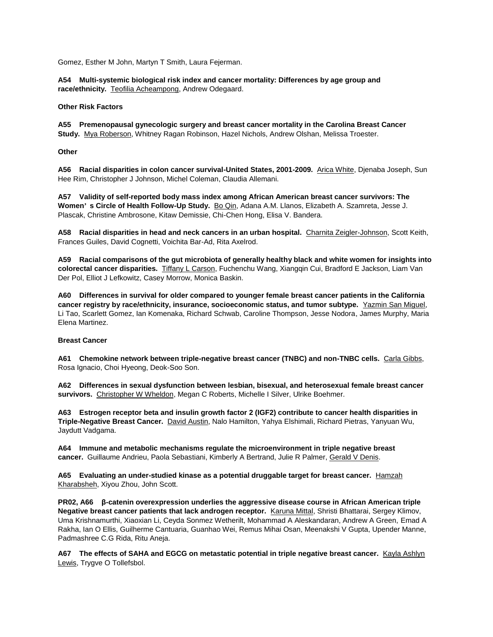Gomez, Esther M John, Martyn T Smith, Laura Fejerman.

**A54 Multi-systemic biological risk index and cancer mortality: Differences by age group and race/ethnicity.** Teofilia Acheampong, Andrew Odegaard.

# **Other Risk Factors**

**A55 Premenopausal gynecologic surgery and breast cancer mortality in the Carolina Breast Cancer Study.** Mya Roberson, Whitney Ragan Robinson, Hazel Nichols, Andrew Olshan, Melissa Troester.

**Other**

**A56 Racial disparities in colon cancer survival-United States, 2001-2009.** Arica White, Djenaba Joseph, Sun Hee Rim, Christopher J Johnson, Michel Coleman, Claudia Allemani.

**A57 Validity of self-reported body mass index among African American breast cancer survivors: The Women' s Circle of Health Follow-Up Study.** Bo Qin, Adana A.M. Llanos, Elizabeth A. Szamreta, Jesse J. Plascak, Christine Ambrosone, Kitaw Demissie, Chi-Chen Hong, Elisa V. Bandera.

**A58 Racial disparities in head and neck cancers in an urban hospital.** Charnita Zeigler-Johnson, Scott Keith, Frances Guiles, David Cognetti, Voichita Bar-Ad, Rita Axelrod.

**A59 Racial comparisons of the gut microbiota of generally healthy black and white women for insights into colorectal cancer disparities.** Tiffany L Carson, Fuchenchu Wang, Xiangqin Cui, Bradford E Jackson, Liam Van Der Pol, Elliot J Lefkowitz, Casey Morrow, Monica Baskin.

**A60 Differences in survival for older compared to younger female breast cancer patients in the California cancer registry by race/ethnicity, insurance, socioeconomic status, and tumor subtype.** Yazmin San Miguel, Li Tao, Scarlett Gomez, Ian Komenaka, Richard Schwab, Caroline Thompson, Jesse Nodora, James Murphy, Maria Elena Martinez.

# **Breast Cancer**

A61 Chemokine network between triple-negative breast cancer (TNBC) and non-TNBC cells. Carla Gibbs, Rosa Ignacio, Choi Hyeong, Deok-Soo Son.

**A62 Differences in sexual dysfunction between lesbian, bisexual, and heterosexual female breast cancer survivors.** Christopher W Wheldon, Megan C Roberts, Michelle I Silver, Ulrike Boehmer.

**A63 Estrogen receptor beta and insulin growth factor 2 (IGF2) contribute to cancer health disparities in Triple-Negative Breast Cancer.** David Austin, Nalo Hamilton, Yahya Elshimali, Richard Pietras, Yanyuan Wu, Jaydutt Vadgama.

**A64 Immune and metabolic mechanisms regulate the microenvironment in triple negative breast cancer.** Guillaume Andrieu, Paola Sebastiani, Kimberly A Bertrand, Julie R Palmer, Gerald V Denis.

**A65 Evaluating an under-studied kinase as a potential druggable target for breast cancer.** Hamzah Kharabsheh, Xiyou Zhou, John Scott.

**PR02, A66 β-catenin overexpression underlies the aggressive disease course in African American triple Negative breast cancer patients that lack androgen receptor.** Karuna Mittal, Shristi Bhattarai, Sergey Klimov, Uma Krishnamurthi, Xiaoxian Li, Ceyda Sonmez Wetherilt, Mohammad A Aleskandaran, Andrew A Green, Emad A Rakha, Ian O Ellis, Guilherme Cantuaria, Guanhao Wei, Remus Mihai Osan, Meenakshi V Gupta, Upender Manne, Padmashree C.G Rida, Ritu Aneja.

A67 The effects of SAHA and EGCG on metastatic potential in triple negative breast cancer. Kayla Ashlyn Lewis, Trygve O Tollefsbol.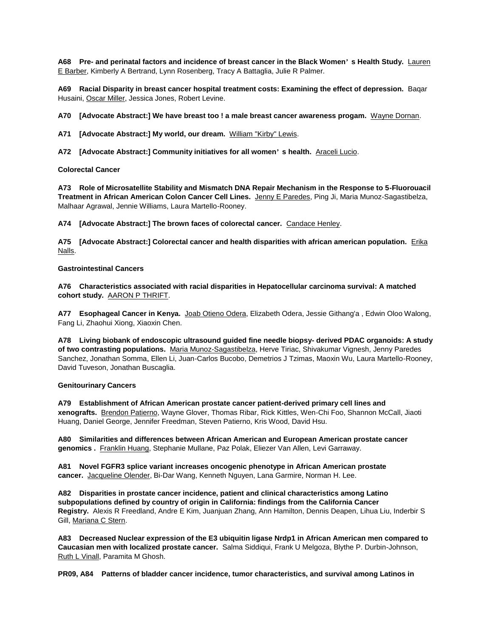**A68 Pre- and perinatal factors and incidence of breast cancer in the Black Women' s Health Study.** Lauren E Barber, Kimberly A Bertrand, Lynn Rosenberg, Tracy A Battaglia, Julie R Palmer.

**A69 Racial Disparity in breast cancer hospital treatment costs: Examining the effect of depression.** Baqar Husaini, Oscar Miller, Jessica Jones, Robert Levine.

**A70 [Advocate Abstract:] We have breast too ! a male breast cancer awareness progam.** Wayne Dornan.

**A71 [Advocate Abstract:] My world, our dream.** William "Kirby" Lewis.

**A72 [Advocate Abstract:] Community initiatives for all women' s health.** Araceli Lucio.

### **Colorectal Cancer**

**A73 Role of Microsatellite Stability and Mismatch DNA Repair Mechanism in the Response to 5-Fluorouacil Treatment in African American Colon Cancer Cell Lines.** Jenny E Paredes, Ping Ji, Maria Munoz-Sagastibelza, Malhaar Agrawal, Jennie Williams, Laura Martello-Rooney.

**A74 [Advocate Abstract:] The brown faces of colorectal cancer.** Candace Henley.

**A75 [Advocate Abstract:] Colorectal cancer and health disparities with african american population.** Erika Nalls.

### **Gastrointestinal Cancers**

**A76 Characteristics associated with racial disparities in Hepatocellular carcinoma survival: A matched cohort study.** AARON P THRIFT.

**A77 Esophageal Cancer in Kenya.** Joab Otieno Odera, Elizabeth Odera, Jessie Githang'a , Edwin Oloo Walong, Fang Li, Zhaohui Xiong, Xiaoxin Chen.

**A78 Living biobank of endoscopic ultrasound guided fine needle biopsy- derived PDAC organoids: A study of two contrasting populations.** Maria Munoz-Sagastibelza, Herve Tiriac, Shivakumar Vignesh, Jenny Paredes Sanchez, Jonathan Somma, Ellen Li, Juan-Carlos Bucobo, Demetrios J Tzimas, Maoxin Wu, Laura Martello-Rooney, David Tuveson, Jonathan Buscaglia.

# **Genitourinary Cancers**

**A79 Establishment of African American prostate cancer patient-derived primary cell lines and xenografts.** Brendon Patierno, Wayne Glover, Thomas Ribar, Rick Kittles, Wen-Chi Foo, Shannon McCall, Jiaoti Huang, Daniel George, Jennifer Freedman, Steven Patierno, Kris Wood, David Hsu.

**A80 Similarities and differences between African American and European American prostate cancer genomics .** Franklin Huang, Stephanie Mullane, Paz Polak, Eliezer Van Allen, Levi Garraway.

**A81 Novel FGFR3 splice variant increases oncogenic phenotype in African American prostate cancer.** Jacqueline Olender, Bi-Dar Wang, Kenneth Nguyen, Lana Garmire, Norman H. Lee.

**A82 Disparities in prostate cancer incidence, patient and clinical characteristics among Latino subpopulations defined by country of origin in California: findings from the California Cancer Registry.** Alexis R Freedland, Andre E Kim, Juanjuan Zhang, Ann Hamilton, Dennis Deapen, Lihua Liu, Inderbir S Gill, Mariana C Stern.

**A83 Decreased Nuclear expression of the E3 ubiquitin ligase Nrdp1 in African American men compared to Caucasian men with localized prostate cancer.** Salma Siddiqui, Frank U Melgoza, Blythe P. Durbin-Johnson, Ruth L Vinall, Paramita M Ghosh.

**PR09, A84 Patterns of bladder cancer incidence, tumor characteristics, and survival among Latinos in**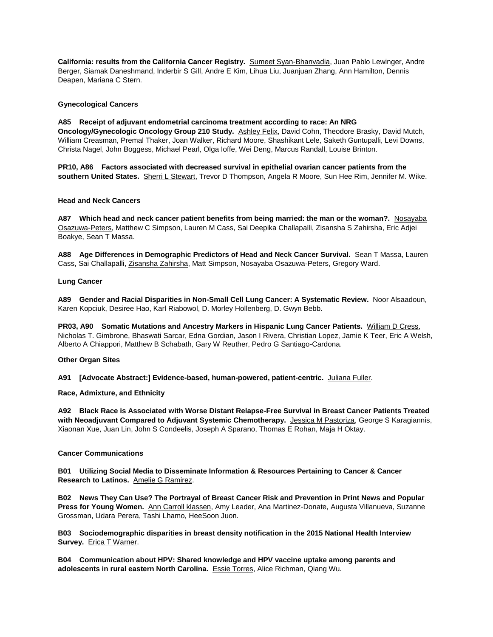**California: results from the California Cancer Registry.** Sumeet Syan-Bhanvadia, Juan Pablo Lewinger, Andre Berger, Siamak Daneshmand, Inderbir S Gill, Andre E Kim, Lihua Liu, Juanjuan Zhang, Ann Hamilton, Dennis Deapen, Mariana C Stern.

### **Gynecological Cancers**

**A85 Receipt of adjuvant endometrial carcinoma treatment according to race: An NRG Oncology/Gynecologic Oncology Group 210 Study.** Ashley Felix, David Cohn, Theodore Brasky, David Mutch, William Creasman, Premal Thaker, Joan Walker, Richard Moore, Shashikant Lele, Saketh Guntupalli, Levi Downs, Christa Nagel, John Boggess, Michael Pearl, Olga Ioffe, Wei Deng, Marcus Randall, Louise Brinton.

**PR10, A86 Factors associated with decreased survival in epithelial ovarian cancer patients from the southern United States.** Sherri L Stewart, Trevor D Thompson, Angela R Moore, Sun Hee Rim, Jennifer M. Wike.

### **Head and Neck Cancers**

**A87 Which head and neck cancer patient benefits from being married: the man or the woman?.** Nosayaba Osazuwa-Peters, Matthew C Simpson, Lauren M Cass, Sai Deepika Challapalli, Zisansha S Zahirsha, Eric Adjei Boakye, Sean T Massa.

**A88 Age Differences in Demographic Predictors of Head and Neck Cancer Survival.** Sean T Massa, Lauren Cass, Sai Challapalli, Zisansha Zahirsha, Matt Simpson, Nosayaba Osazuwa-Peters, Gregory Ward.

### **Lung Cancer**

**A89 Gender and Racial Disparities in Non-Small Cell Lung Cancer: A Systematic Review.** Noor Alsaadoun, Karen Kopciuk, Desiree Hao, Karl Riabowol, D. Morley Hollenberg, D. Gwyn Bebb.

**PR03, A90 Somatic Mutations and Ancestry Markers in Hispanic Lung Cancer Patients.** William D Cress, Nicholas T. Gimbrone, Bhaswati Sarcar, Edna Gordian, Jason I Rivera, Christian Lopez, Jamie K Teer, Eric A Welsh, Alberto A Chiappori, Matthew B Schabath, Gary W Reuther, Pedro G Santiago-Cardona.

# **Other Organ Sites**

**A91 [Advocate Abstract:] Evidence-based, human-powered, patient-centric.** Juliana Fuller.

**Race, Admixture, and Ethnicity**

**A92 Black Race is Associated with Worse Distant Relapse-Free Survival in Breast Cancer Patients Treated with Neoadjuvant Compared to Adjuvant Systemic Chemotherapy.** Jessica M Pastoriza, George S Karagiannis, Xiaonan Xue, Juan Lin, John S Condeelis, Joseph A Sparano, Thomas E Rohan, Maja H Oktay.

# **Cancer Communications**

**B01 Utilizing Social Media to Disseminate Information & Resources Pertaining to Cancer & Cancer Research to Latinos.** Amelie G Ramirez.

**B02 News They Can Use? The Portrayal of Breast Cancer Risk and Prevention in Print News and Popular Press for Young Women.** Ann Carroll klassen, Amy Leader, Ana Martinez-Donate, Augusta Villanueva, Suzanne Grossman, Udara Perera, Tashi Lhamo, HeeSoon Juon.

**B03 Sociodemographic disparities in breast density notification in the 2015 National Health Interview**  Survey. **Erica T Warner.** 

**B04 Communication about HPV: Shared knowledge and HPV vaccine uptake among parents and adolescents in rural eastern North Carolina.** Essie Torres, Alice Richman, Qiang Wu.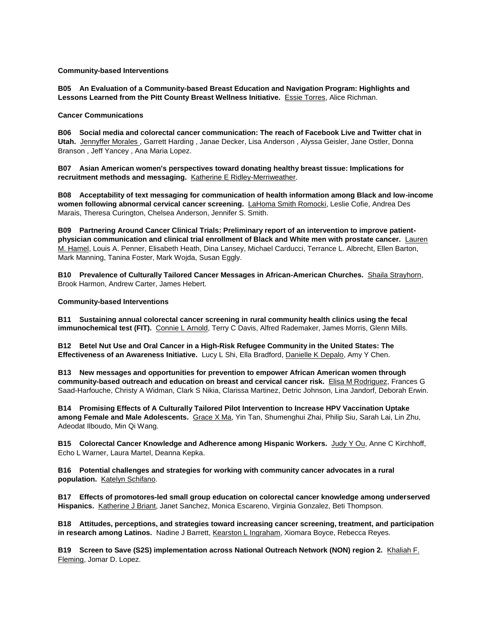### **Community-based Interventions**

**B05 An Evaluation of a Community-based Breast Education and Navigation Program: Highlights and Lessons Learned from the Pitt County Breast Wellness Initiative.** Essie Torres, Alice Richman.

# **Cancer Communications**

**B06 Social media and colorectal cancer communication: The reach of Facebook Live and Twitter chat in Utah.** Jennyffer Morales , Garrett Harding , Janae Decker, Lisa Anderson , Alyssa Geisler, Jane Ostler, Donna Branson , Jeff Yancey , Ana Maria Lopez.

**B07 Asian American women's perspectives toward donating healthy breast tissue: Implications for recruitment methods and messaging.** Katherine E Ridley-Merriweather.

**B08 Acceptability of text messaging for communication of health information among Black and low-income women following abnormal cervical cancer screening.** LaHoma Smith Romocki, Leslie Cofie, Andrea Des Marais, Theresa Curington, Chelsea Anderson, Jennifer S. Smith.

**B09 Partnering Around Cancer Clinical Trials: Preliminary report of an intervention to improve patientphysician communication and clinical trial enrollment of Black and White men with prostate cancer.** Lauren M. Hamel, Louis A. Penner, Elisabeth Heath, Dina Lansey, Michael Carducci, Terrance L. Albrecht, Ellen Barton, Mark Manning, Tanina Foster, Mark Wojda, Susan Eggly.

**B10 Prevalence of Culturally Tailored Cancer Messages in African-American Churches.** Shaila Strayhorn, Brook Harmon, Andrew Carter, James Hebert.

### **Community-based Interventions**

**B11 Sustaining annual colorectal cancer screening in rural community health clinics using the fecal immunochemical test (FIT).** Connie L Arnold, Terry C Davis, Alfred Rademaker, James Morris, Glenn Mills.

**B12 Betel Nut Use and Oral Cancer in a High-Risk Refugee Community in the United States: The Effectiveness of an Awareness Initiative.** Lucy L Shi, Ella Bradford, Danielle K Depalo, Amy Y Chen.

**B13 New messages and opportunities for prevention to empower African American women through community-based outreach and education on breast and cervical cancer risk.** Elisa M Rodriguez, Frances G Saad-Harfouche, Christy A Widman, Clark S Nikia, Clarissa Martinez, Detric Johnson, Lina Jandorf, Deborah Erwin.

**B14 Promising Effects of A Culturally Tailored Pilot Intervention to Increase HPV Vaccination Uptake among Female and Male Adolescents.** Grace X Ma, Yin Tan, Shumenghui Zhai, Philip Siu, Sarah Lai, Lin Zhu, Adeodat Ilboudo, Min Qi Wang.

**B15 Colorectal Cancer Knowledge and Adherence among Hispanic Workers.** Judy Y Ou, Anne C Kirchhoff, Echo L Warner, Laura Martel, Deanna Kepka.

**B16 Potential challenges and strategies for working with community cancer advocates in a rural population.** Katelyn Schifano.

**B17 Effects of promotores-led small group education on colorectal cancer knowledge among underserved Hispanics.** Katherine J Briant, Janet Sanchez, Monica Escareno, Virginia Gonzalez, Beti Thompson.

**B18 Attitudes, perceptions, and strategies toward increasing cancer screening, treatment, and participation in research among Latinos.** Nadine J Barrett, Kearston L Ingraham, Xiomara Boyce, Rebecca Reyes.

**B19 Screen to Save (S2S) implementation across National Outreach Network (NON) region 2.** Khaliah F. Fleming, Jomar D. Lopez.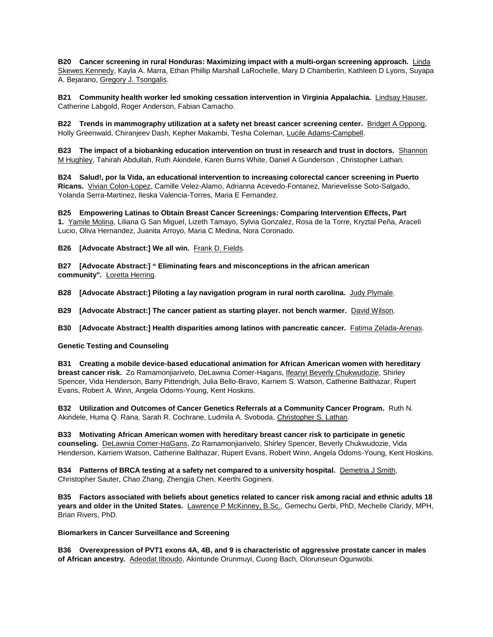**B20 Cancer screening in rural Honduras: Maximizing impact with a multi-organ screening approach.** Linda Skewes Kennedy, Kayla A. Marra, Ethan Phillip Marshall LaRochelle, Mary D Chamberlin, Kathleen D Lyons, Suyapa A. Bejarano, Gregory J. Tsongalis.

**B21 Community health worker led smoking cessation intervention in Virginia Appalachia.** Lindsay Hauser, Catherine Labgold, Roger Anderson, Fabian Camacho.

**B22 Trends in mammography utilization at a safety net breast cancer screening center.** Bridget A Oppong, Holly Greenwald, Chiranjeev Dash, Kepher Makambi, Tesha Coleman, Lucile Adams-Campbell.

**B23 The impact of a biobanking education intervention on trust in research and trust in doctors.** Shannon M Hughley, Tahirah Abdullah, Ruth Akindele, Karen Burns White, Daniel A Gunderson , Christopher Lathan.

**B24 Salud!, por la Vida, an educational intervention to increasing colorectal cancer screening in Puerto Ricans.** Vivian Colon-Lopez, Camille Velez-Alamo, Adrianna Acevedo-Fontanez, Marievelisse Soto-Salgado, Yolanda Serra-Martinez, Ileska Valencia-Torres, Maria E Fernandez.

**B25 Empowering Latinas to Obtain Breast Cancer Screenings: Comparing Intervention Effects, Part 1.** Yamile Molina, Liliana G San Miguel, Lizeth Tamayo, Sylvia Gonzalez, Rosa de la Torre, Kryztal Peña, Araceli Lucio, Oliva Hernandez, Juanita Arroyo, Maria C Medina, Nora Coronado.

**B26** [Advocate Abstract:] We all win. Frank D. Fields.

**B27 [Advocate Abstract:] " Eliminating fears and misconceptions in the african american community".** Loretta Herring.

**B28 [Advocate Abstract:] Piloting a lay navigation program in rural north carolina.** Judy Plymale.

**B29 [Advocate Abstract:] The cancer patient as starting player. not bench warmer.** David Wilson.

**B30 [Advocate Abstract:] Health disparities among latinos with pancreatic cancer.** Fatima Zelada-Arenas.

#### **Genetic Testing and Counseling**

**B31 Creating a mobile device-based educational animation for African American women with hereditary breast cancer risk.** Zo Ramamonjiarivelo, DeLawnia Comer-Hagans, Ifeanyi Beverly Chukwudozie, Shirley Spencer, Vida Henderson, Barry Pittendrigh, Julia Bello-Bravo, Karriem S. Watson, Catherine Balthazar, Rupert Evans, Robert A. Winn, Angela Odoms-Young, Kent Hoskins.

**B32 Utilization and Outcomes of Cancer Genetics Referrals at a Community Cancer Program.** Ruth N. Akindele, Huma Q. Rana, Sarah R. Cochrane, Ludmila A. Svoboda, Christopher S. Lathan.

**B33 Motivating African American women with hereditary breast cancer risk to participate in genetic counseling.** DeLawnia Comer-HaGans, Zo Ramamonjiarivelo, Shirley Spencer, Beverly Chukwudozie, Vida Henderson, Karriem Watson, Catherine Balthazar, Rupert Evans, Robert Winn, Angela Odoms-Young, Kent Hoskins.

**B34 Patterns of BRCA testing at a safety net compared to a university hospital.** Demetria J Smith, Christopher Sauter, Chao Zhang, Zhengjia Chen, Keerthi Gogineni.

**B35 Factors associated with beliefs about genetics related to cancer risk among racial and ethnic adults 18 years and older in the United States.** Lawrence P McKinney, B.Sc., Gemechu Gerbi, PhD, Mechelle Claridy, MPH, Brian Rivers, PhD.

#### **Biomarkers in Cancer Surveillance and Screening**

**B36 Overexpression of PVT1 exons 4A, 4B, and 9 is characteristic of aggressive prostate cancer in males of African ancestry.** Adeodat Ilboudo, Akintunde Orunmuyi, Cuong Bach, Olorunseun Ogunwobi.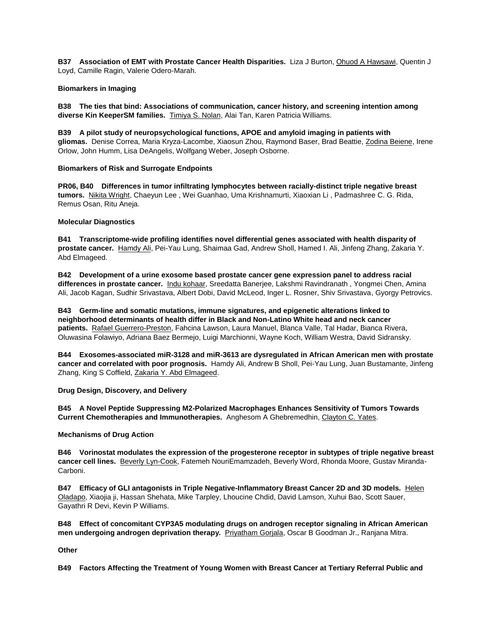**B37 Association of EMT with Prostate Cancer Health Disparities.** Liza J Burton, Ohuod A Hawsawi, Quentin J Loyd, Camille Ragin, Valerie Odero-Marah.

# **Biomarkers in Imaging**

**B38 The ties that bind: Associations of communication, cancer history, and screening intention among diverse Kin KeeperSM families.** Timiya S. Nolan, Alai Tan, Karen Patricia Williams.

**B39 A pilot study of neuropsychological functions, APOE and amyloid imaging in patients with gliomas.** Denise Correa, Maria Kryza-Lacombe, Xiaosun Zhou, Raymond Baser, Brad Beattie, Zodina Beiene, Irene Orlow, John Humm, Lisa DeAngelis, Wolfgang Weber, Joseph Osborne.

# **Biomarkers of Risk and Surrogate Endpoints**

**PR06, B40 Differences in tumor infiltrating lymphocytes between racially-distinct triple negative breast tumors.** Nikita Wright, Chaeyun Lee , Wei Guanhao, Uma Krishnamurti, Xiaoxian Li , Padmashree C. G. Rida, Remus Osan, Ritu Aneja.

# **Molecular Diagnostics**

**B41 Transcriptome-wide profiling identifies novel differential genes associated with health disparity of prostate cancer.** Hamdy Ali, Pei-Yau Lung, Shaimaa Gad, Andrew Sholl, Hamed I. Ali, Jinfeng Zhang, Zakaria Y. Abd Elmageed.

**B42 Development of a urine exosome based prostate cancer gene expression panel to address racial differences in prostate cancer.** Indu kohaar, Sreedatta Banerjee, Lakshmi Ravindranath , Yongmei Chen, Amina Ali, Jacob Kagan, Sudhir Srivastava, Albert Dobi, David McLeod, Inger L. Rosner, Shiv Srivastava, Gyorgy Petrovics.

**B43 Germ-line and somatic mutations, immune signatures, and epigenetic alterations linked to neighborhood determinants of health differ in Black and Non-Latino White head and neck cancer patients.** Rafael Guerrero-Preston, Fahcina Lawson, Laura Manuel, Blanca Valle, Tal Hadar, Bianca Rivera, Oluwasina Folawiyo, Adriana Baez Bermejo, Luigi Marchionni, Wayne Koch, William Westra, David Sidransky.

**B44 Exosomes-associated miR-3128 and miR-3613 are dysregulated in African American men with prostate cancer and correlated with poor prognosis.** Hamdy Ali, Andrew B Sholl, Pei-Yau Lung, Juan Bustamante, Jinfeng Zhang, King S Coffield, Zakaria Y. Abd Elmageed.

# **Drug Design, Discovery, and Delivery**

**B45 A Novel Peptide Suppressing M2-Polarized Macrophages Enhances Sensitivity of Tumors Towards Current Chemotherapies and Immunotherapies.** Anghesom A Ghebremedhin, Clayton C. Yates.

# **Mechanisms of Drug Action**

**B46 Vorinostat modulates the expression of the progesterone receptor in subtypes of triple negative breast cancer cell lines.** Beverly Lyn-Cook, Fatemeh NouriEmamzadeh, Beverly Word, Rhonda Moore, Gustav Miranda-Carboni.

**B47 Efficacy of GLI antagonists in Triple Negative-Inflammatory Breast Cancer 2D and 3D models.** Helen Oladapo, Xiaojia ji, Hassan Shehata, Mike Tarpley, Lhoucine Chdid, David Lamson, Xuhui Bao, Scott Sauer, Gayathri R Devi, Kevin P Williams.

**B48 Effect of concomitant CYP3A5 modulating drugs on androgen receptor signaling in African American men undergoing androgen deprivation therapy.** Priyatham Gorjala, Oscar B Goodman Jr., Ranjana Mitra.

**Other**

**B49 Factors Affecting the Treatment of Young Women with Breast Cancer at Tertiary Referral Public and**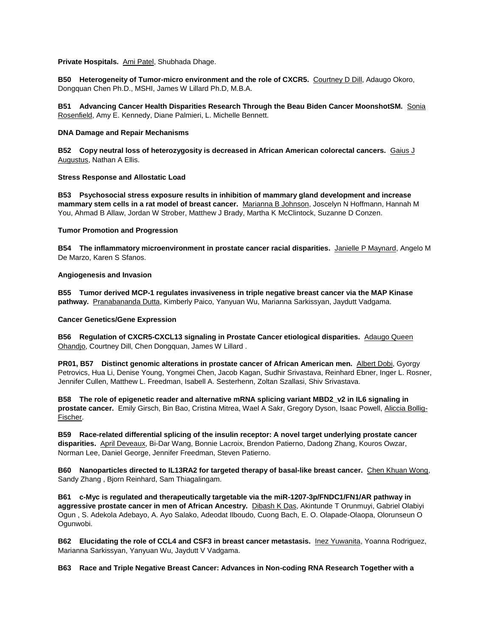### **Private Hospitals.** Ami Patel, Shubhada Dhage.

**B50 Heterogeneity of Tumor-micro environment and the role of CXCR5.** Courtney D Dill, Adaugo Okoro, Dongquan Chen Ph.D., MSHI, James W Lillard Ph.D, M.B.A.

**B51 Advancing Cancer Health Disparities Research Through the Beau Biden Cancer MoonshotSM.** Sonia Rosenfield, Amy E. Kennedy, Diane Palmieri, L. Michelle Bennett.

### **DNA Damage and Repair Mechanisms**

**B52 Copy neutral loss of heterozygosity is decreased in African American colorectal cancers.** Gaius J Augustus, Nathan A Ellis.

# **Stress Response and Allostatic Load**

**B53 Psychosocial stress exposure results in inhibition of mammary gland development and increase mammary stem cells in a rat model of breast cancer.** Marianna B Johnson, Joscelyn N Hoffmann, Hannah M You, Ahmad B Allaw, Jordan W Strober, Matthew J Brady, Martha K McClintock, Suzanne D Conzen.

### **Tumor Promotion and Progression**

**B54 The inflammatory microenvironment in prostate cancer racial disparities.** Janielle P Maynard, Angelo M De Marzo, Karen S Sfanos.

### **Angiogenesis and Invasion**

**B55 Tumor derived MCP-1 regulates invasiveness in triple negative breast cancer via the MAP Kinase pathway.** Pranabananda Dutta, Kimberly Paico, Yanyuan Wu, Marianna Sarkissyan, Jaydutt Vadgama.

### **Cancer Genetics/Gene Expression**

**B56 Regulation of CXCR5-CXCL13 signaling in Prostate Cancer etiological disparities.** Adaugo Queen Ohandjo, Courtney Dill, Chen Dongquan, James W Lillard .

**PR01, B57 Distinct genomic alterations in prostate cancer of African American men.** Albert Dobi, Gyorgy Petrovics, Hua Li, Denise Young, Yongmei Chen, Jacob Kagan, Sudhir Srivastava, Reinhard Ebner, Inger L. Rosner, Jennifer Cullen, Matthew L. Freedman, Isabell A. Sesterhenn, Zoltan Szallasi, Shiv Srivastava.

**B58 The role of epigenetic reader and alternative mRNA splicing variant MBD2\_v2 in IL6 signaling in prostate cancer.** Emily Girsch, Bin Bao, Cristina Mitrea, Wael A Sakr, Gregory Dyson, Isaac Powell, Aliccia Bollig-Fischer.

**B59 Race-related differential splicing of the insulin receptor: A novel target underlying prostate cancer disparities.** April Deveaux, Bi-Dar Wang, Bonnie Lacroix, Brendon Patierno, Dadong Zhang, Kouros Owzar, Norman Lee, Daniel George, Jennifer Freedman, Steven Patierno.

**B60 Nanoparticles directed to IL13RA2 for targeted therapy of basal-like breast cancer.** Chen Khuan Wong, Sandy Zhang , Bjorn Reinhard, Sam Thiagalingam.

**B61 c-Myc is regulated and therapeutically targetable via the miR-1207-3p/FNDC1/FN1/AR pathway in aggressive prostate cancer in men of African Ancestry.** Dibash K Das, Akintunde T Orunmuyi, Gabriel Olabiyi Ogun , S. Adekola Adebayo, A. Ayo Salako, Adeodat Ilboudo, Cuong Bach, E. O. Olapade-Olaopa, Olorunseun O Ogunwobi.

**B62 Elucidating the role of CCL4 and CSF3 in breast cancer metastasis.** Inez Yuwanita, Yoanna Rodriguez, Marianna Sarkissyan, Yanyuan Wu, Jaydutt V Vadgama.

**B63 Race and Triple Negative Breast Cancer: Advances in Non-coding RNA Research Together with a**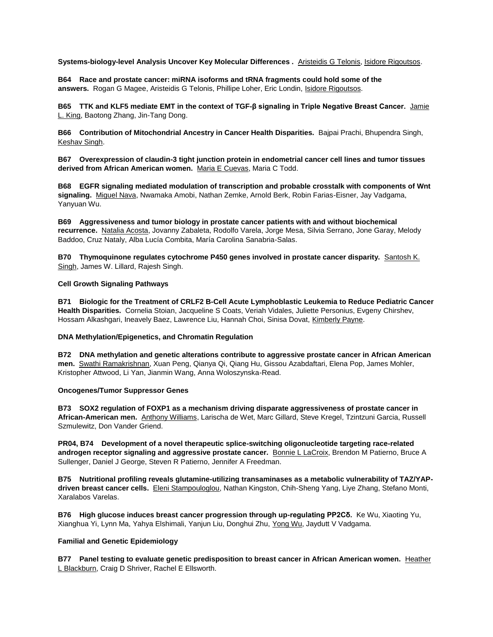**Systems-biology-level Analysis Uncover Key Molecular Differences .** Aristeidis G Telonis, Isidore Rigoutsos.

**B64 Race and prostate cancer: miRNA isoforms and tRNA fragments could hold some of the answers.** Rogan G Magee, Aristeidis G Telonis, Phillipe Loher, Eric Londin, Isidore Rigoutsos.

**B65 TTK and KLF5 mediate EMT in the context of TGF-β signaling in Triple Negative Breast Cancer.** Jamie L. King, Baotong Zhang, Jin-Tang Dong.

**B66 Contribution of Mitochondrial Ancestry in Cancer Health Disparities.** Bajpai Prachi, Bhupendra Singh, Keshav Singh.

**B67 Overexpression of claudin-3 tight junction protein in endometrial cancer cell lines and tumor tissues derived from African American women.** Maria E Cuevas, Maria C Todd.

**B68 EGFR signaling mediated modulation of transcription and probable crosstalk with components of Wnt signaling.** Miguel Nava, Nwamaka Amobi, Nathan Zemke, Arnold Berk, Robin Farias-Eisner, Jay Vadgama, Yanyuan Wu.

**B69 Aggressiveness and tumor biology in prostate cancer patients with and without biochemical recurrence.** Natalia Acosta, Jovanny Zabaleta, Rodolfo Varela, Jorge Mesa, Silvia Serrano, Jone Garay, Melody Baddoo, Cruz Nataly, Alba Lucía Combita, María Carolina Sanabria-Salas.

**B70 Thymoquinone regulates cytochrome P450 genes involved in prostate cancer disparity.** Santosh K. Singh, James W. Lillard, Rajesh Singh.

### **Cell Growth Signaling Pathways**

**B71 Biologic for the Treatment of CRLF2 B-Cell Acute Lymphoblastic Leukemia to Reduce Pediatric Cancer Health Disparities.** Cornelia Stoian, Jacqueline S Coats, Veriah Vidales, Juliette Personius, Evgeny Chirshev, Hossam Alkashgari, Ineavely Baez, Lawrence Liu, Hannah Choi, Sinisa Dovat, Kimberly Payne.

#### **DNA Methylation/Epigenetics, and Chromatin Regulation**

**B72 DNA methylation and genetic alterations contribute to aggressive prostate cancer in African American men.** Swathi Ramakrishnan, Xuan Peng, Qianya Qi, Qiang Hu, Gissou Azabdaftari, Elena Pop, James Mohler, Kristopher Attwood, Li Yan, Jianmin Wang, Anna Woloszynska-Read.

#### **Oncogenes/Tumor Suppressor Genes**

**B73 SOX2 regulation of FOXP1 as a mechanism driving disparate aggressiveness of prostate cancer in African-American men.** Anthony Williams, Larischa de Wet, Marc Gillard, Steve Kregel, Tzintzuni Garcia, Russell Szmulewitz, Don Vander Griend.

**PR04, B74 Development of a novel therapeutic splice-switching oligonucleotide targeting race-related**  androgen receptor signaling and aggressive prostate cancer. Bonnie L LaCroix, Brendon M Patierno, Bruce A Sullenger, Daniel J George, Steven R Patierno, Jennifer A Freedman.

**B75 Nutritional profiling reveals glutamine-utilizing transaminases as a metabolic vulnerability of TAZ/YAPdriven breast cancer cells.** Eleni Stampouloglou, Nathan Kingston, Chih-Sheng Yang, Liye Zhang, Stefano Monti, Xaralabos Varelas.

**B76 High glucose induces breast cancer progression through up-regulating PP2Cδ.** Ke Wu, Xiaoting Yu, Xianghua Yi, Lynn Ma, Yahya Elshimali, Yanjun Liu, Donghui Zhu, Yong Wu, Jaydutt V Vadgama.

# **Familial and Genetic Epidemiology**

**B77 Panel testing to evaluate genetic predisposition to breast cancer in African American women.** Heather L Blackburn, Craig D Shriver, Rachel E Ellsworth.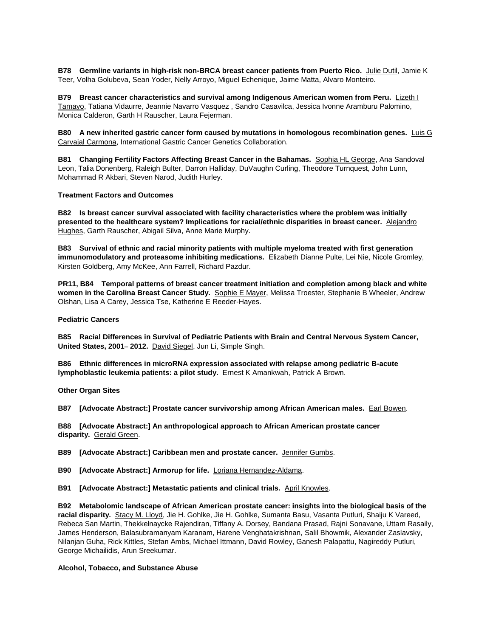**B78 Germline variants in high-risk non-BRCA breast cancer patients from Puerto Rico.** Julie Dutil, Jamie K Teer, Volha Golubeva, Sean Yoder, Nelly Arroyo, Miguel Echenique, Jaime Matta, Alvaro Monteiro.

**B79 Breast cancer characteristics and survival among Indigenous American women from Peru.** Lizeth I Tamayo, Tatiana Vidaurre, Jeannie Navarro Vasquez , Sandro Casavilca, Jessica Ivonne Aramburu Palomino, Monica Calderon, Garth H Rauscher, Laura Fejerman.

**B80 A new inherited gastric cancer form caused by mutations in homologous recombination genes.** Luis G Carvajal Carmona, International Gastric Cancer Genetics Collaboration.

**B81 Changing Fertility Factors Affecting Breast Cancer in the Bahamas.** Sophia HL George, Ana Sandoval Leon, Talia Donenberg, Raleigh Bulter, Darron Halliday, DuVaughn Curling, Theodore Turnquest, John Lunn, Mohammad R Akbari, Steven Narod, Judith Hurley.

### **Treatment Factors and Outcomes**

**B82 Is breast cancer survival associated with facility characteristics where the problem was initially presented to the healthcare system? Implications for racial/ethnic disparities in breast cancer.** Alejandro Hughes, Garth Rauscher, Abigail Silva, Anne Marie Murphy.

**B83 Survival of ethnic and racial minority patients with multiple myeloma treated with first generation immunomodulatory and proteasome inhibiting medications.** Elizabeth Dianne Pulte, Lei Nie, Nicole Gromley, Kirsten Goldberg, Amy McKee, Ann Farrell, Richard Pazdur.

**PR11, B84 Temporal patterns of breast cancer treatment initiation and completion among black and white**  women in the Carolina Breast Cancer Study. Sophie E Mayer, Melissa Troester, Stephanie B Wheeler, Andrew Olshan, Lisa A Carey, Jessica Tse, Katherine E Reeder-Hayes.

**Pediatric Cancers**

**B85 Racial Differences in Survival of Pediatric Patients with Brain and Central Nervous System Cancer, United States, 2001– 2012.** David Siegel, Jun Li, Simple Singh.

**B86 Ethnic differences in microRNA expression associated with relapse among pediatric B-acute lymphoblastic leukemia patients: a pilot study.** Ernest K Amankwah, Patrick A Brown.

**Other Organ Sites**

**B87 [Advocate Abstract:] Prostate cancer survivorship among African American males.** Earl Bowen.

**B88 [Advocate Abstract:] An anthropological approach to African American prostate cancer disparity.** Gerald Green.

**B89 [Advocate Abstract:] Caribbean men and prostate cancer.** Jennifer Gumbs.

- **B90 [Advocate Abstract:] Armorup for life.** Loriana Hernandez-Aldama.
- **B91 [Advocate Abstract:] Metastatic patients and clinical trials.** April Knowles.

**B92 Metabolomic landscape of African American prostate cancer: insights into the biological basis of the racial disparity.** Stacy M. Lloyd, Jie H. Gohlke, Jie H. Gohlke, Sumanta Basu, Vasanta Putluri, Shaiju K Vareed, Rebeca San Martin, Thekkelnaycke Rajendiran, Tiffany A. Dorsey, Bandana Prasad, Rajni Sonavane, Uttam Rasaily, James Henderson, Balasubramanyam Karanam, Harene Venghatakrishnan, Salil Bhowmik, Alexander Zaslavsky, Nilanjan Guha, Rick Kittles, Stefan Ambs, Michael Ittmann, David Rowley, Ganesh Palapattu, Nagireddy Putluri, George Michailidis, Arun Sreekumar.

#### **Alcohol, Tobacco, and Substance Abuse**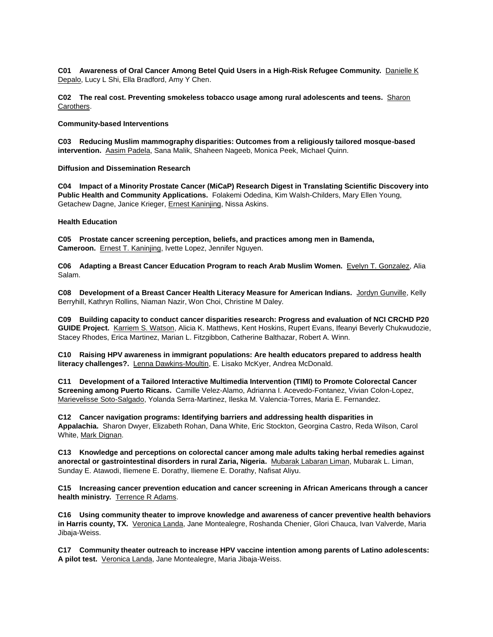**C01 Awareness of Oral Cancer Among Betel Quid Users in a High-Risk Refugee Community.** Danielle K Depalo, Lucy L Shi, Ella Bradford, Amy Y Chen.

**C02 The real cost. Preventing smokeless tobacco usage among rural adolescents and teens.** Sharon Carothers.

#### **Community-based Interventions**

**C03 Reducing Muslim mammography disparities: Outcomes from a religiously tailored mosque-based intervention.** Aasim Padela, Sana Malik, Shaheen Nageeb, Monica Peek, Michael Quinn.

# **Diffusion and Dissemination Research**

**C04 Impact of a Minority Prostate Cancer (MiCaP) Research Digest in Translating Scientific Discovery into Public Health and Community Applications.** Folakemi Odedina, Kim Walsh-Childers, Mary Ellen Young, Getachew Dagne, Janice Krieger, Ernest Kaninjing, Nissa Askins.

# **Health Education**

**C05 Prostate cancer screening perception, beliefs, and practices among men in Bamenda, Cameroon.** Ernest T. Kaninjing, Ivette Lopez, Jennifer Nguyen.

**C06 Adapting a Breast Cancer Education Program to reach Arab Muslim Women.** Evelyn T. Gonzalez, Alia Salam.

**C08 Development of a Breast Cancer Health Literacy Measure for American Indians.** Jordyn Gunville, Kelly Berryhill, Kathryn Rollins, Niaman Nazir, Won Choi, Christine M Daley.

**C09 Building capacity to conduct cancer disparities research: Progress and evaluation of NCI CRCHD P20 GUIDE Project.** Karriem S. Watson, Alicia K. Matthews, Kent Hoskins, Rupert Evans, Ifeanyi Beverly Chukwudozie, Stacey Rhodes, Erica Martinez, Marian L. Fitzgibbon, Catherine Balthazar, Robert A. Winn.

**C10 Raising HPV awareness in immigrant populations: Are health educators prepared to address health literacy challenges?.** Lenna Dawkins-Moultin, E. Lisako McKyer, Andrea McDonald.

**C11 Development of a Tailored Interactive Multimedia Intervention (TIMI) to Promote Colorectal Cancer Screening among Puerto Ricans.** Camille Velez-Alamo, Adrianna I. Acevedo-Fontanez, Vivian Colon-Lopez, Marievelisse Soto-Salgado, Yolanda Serra-Martinez, Ileska M. Valencia-Torres, Maria E. Fernandez.

**C12 Cancer navigation programs: Identifying barriers and addressing health disparities in Appalachia.** Sharon Dwyer, Elizabeth Rohan, Dana White, Eric Stockton, Georgina Castro, Reda Wilson, Carol White, Mark Dignan.

**C13 Knowledge and perceptions on colorectal cancer among male adults taking herbal remedies against anorectal or gastrointestinal disorders in rural Zaria, Nigeria.** Mubarak Labaran Liman, Mubarak L. Liman, Sunday E. Atawodi, Iliemene E. Dorathy, Iliemene E. Dorathy, Nafisat Aliyu.

**C15 Increasing cancer prevention education and cancer screening in African Americans through a cancer health ministry.** Terrence R Adams.

**C16 Using community theater to improve knowledge and awareness of cancer preventive health behaviors in Harris county, TX.** Veronica Landa, Jane Montealegre, Roshanda Chenier, Glori Chauca, Ivan Valverde, Maria Jibaja-Weiss.

**C17 Community theater outreach to increase HPV vaccine intention among parents of Latino adolescents: A pilot test.** Veronica Landa, Jane Montealegre, Maria Jibaja-Weiss.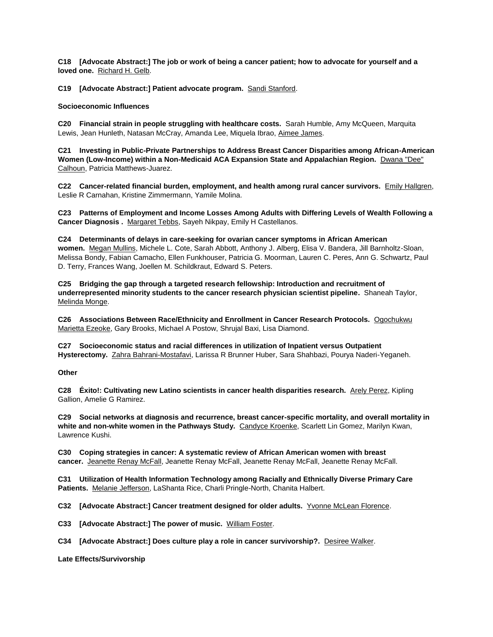**C18 [Advocate Abstract:] The job or work of being a cancer patient; how to advocate for yourself and a loved one.** Richard H. Gelb.

**C19 [Advocate Abstract:] Patient advocate program.** Sandi Stanford.

### **Socioeconomic Influences**

**C20 Financial strain in people struggling with healthcare costs.** Sarah Humble, Amy McQueen, Marquita Lewis, Jean Hunleth, Natasan McCray, Amanda Lee, Miquela Ibrao, Aimee James.

**C21 Investing in Public-Private Partnerships to Address Breast Cancer Disparities among African-American Women (Low-Income) within a Non-Medicaid ACA Expansion State and Appalachian Region.** Dwana "Dee" Calhoun, Patricia Matthews-Juarez.

**C22 Cancer-related financial burden, employment, and health among rural cancer survivors.** Emily Hallgren, Leslie R Carnahan, Kristine Zimmermann, Yamile Molina.

**C23 Patterns of Employment and Income Losses Among Adults with Differing Levels of Wealth Following a Cancer Diagnosis .** Margaret Tebbs, Sayeh Nikpay, Emily H Castellanos.

**C24 Determinants of delays in care-seeking for ovarian cancer symptoms in African American women.** Megan Mullins, Michele L. Cote, Sarah Abbott, Anthony J. Alberg, Elisa V. Bandera, Jill Barnholtz-Sloan, Melissa Bondy, Fabian Camacho, Ellen Funkhouser, Patricia G. Moorman, Lauren C. Peres, Ann G. Schwartz, Paul D. Terry, Frances Wang, Joellen M. Schildkraut, Edward S. Peters.

**C25 Bridging the gap through a targeted research fellowship: Introduction and recruitment of underrepresented minority students to the cancer research physician scientist pipeline.** Shaneah Taylor, Melinda Monge.

**C26 Associations Between Race/Ethnicity and Enrollment in Cancer Research Protocols.** Ogochukwu Marietta Ezeoke, Gary Brooks, Michael A Postow, Shrujal Baxi, Lisa Diamond.

**C27 Socioeconomic status and racial differences in utilization of Inpatient versus Outpatient Hysterectomy.** Zahra Bahrani-Mostafavi, Larissa R Brunner Huber, Sara Shahbazi, Pourya Naderi-Yeganeh.

#### **Other**

**C28 Éxito!: Cultivating new Latino scientists in cancer health disparities research.** Arely Perez, Kipling Gallion, Amelie G Ramirez.

**C29 Social networks at diagnosis and recurrence, breast cancer-specific mortality, and overall mortality in white and non-white women in the Pathways Study.** Candyce Kroenke, Scarlett Lin Gomez, Marilyn Kwan, Lawrence Kushi.

**C30 Coping strategies in cancer: A systematic review of African American women with breast cancer.** Jeanette Renay McFall, Jeanette Renay McFall, Jeanette Renay McFall, Jeanette Renay McFall.

**C31 Utilization of Health Information Technology among Racially and Ethnically Diverse Primary Care Patients.** Melanie Jefferson, LaShanta Rice, Charli Pringle-North, Chanita Halbert.

**C32 [Advocate Abstract:] Cancer treatment designed for older adults.** Yvonne McLean Florence.

**C33 [Advocate Abstract:] The power of music.** William Foster.

**C34 [Advocate Abstract:] Does culture play a role in cancer survivorship?.** Desiree Walker.

**Late Effects/Survivorship**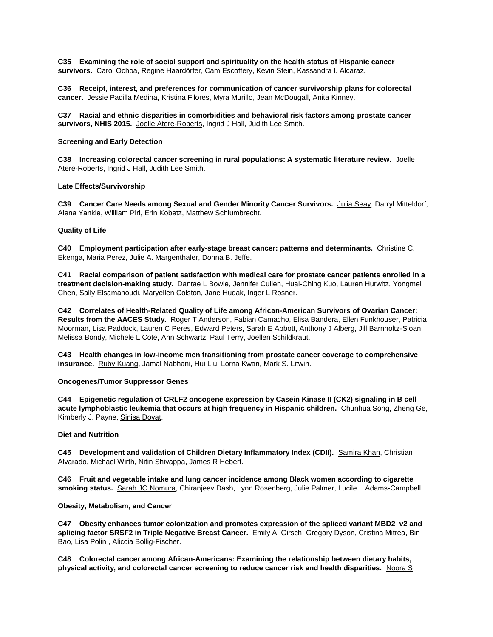**C35 Examining the role of social support and spirituality on the health status of Hispanic cancer survivors.** Carol Ochoa, Regine Haardörfer, Cam Escoffery, Kevin Stein, Kassandra I. Alcaraz.

**C36 Receipt, interest, and preferences for communication of cancer survivorship plans for colorectal cancer.** Jessie Padilla Medina, Kristina Fllores, Myra Murillo, Jean McDougall, Anita Kinney.

**C37 Racial and ethnic disparities in comorbidities and behavioral risk factors among prostate cancer survivors, NHIS 2015.** Joelle Atere-Roberts, Ingrid J Hall, Judith Lee Smith.

### **Screening and Early Detection**

**C38 Increasing colorectal cancer screening in rural populations: A systematic literature review.** Joelle Atere-Roberts, Ingrid J Hall, Judith Lee Smith.

### **Late Effects/Survivorship**

**C39 Cancer Care Needs among Sexual and Gender Minority Cancer Survivors.** Julia Seay, Darryl Mitteldorf, Alena Yankie, William Pirl, Erin Kobetz, Matthew Schlumbrecht.

### **Quality of Life**

**C40 Employment participation after early-stage breast cancer: patterns and determinants.** Christine C. Ekenga, Maria Perez, Julie A. Margenthaler, Donna B. Jeffe.

**C41 Racial comparison of patient satisfaction with medical care for prostate cancer patients enrolled in a treatment decision-making study.** Dantae L Bowie, Jennifer Cullen, Huai-Ching Kuo, Lauren Hurwitz, Yongmei Chen, Sally Elsamanoudi, Maryellen Colston, Jane Hudak, Inger L Rosner.

**C42 Correlates of Health-Related Quality of Life among African-American Survivors of Ovarian Cancer: Results from the AACES Study.** Roger T Anderson, Fabian Camacho, Elisa Bandera, Ellen Funkhouser, Patricia Moorman, Lisa Paddock, Lauren C Peres, Edward Peters, Sarah E Abbott, Anthony J Alberg, Jill Barnholtz-Sloan, Melissa Bondy, Michele L Cote, Ann Schwartz, Paul Terry, Joellen Schildkraut.

**C43 Health changes in low-income men transitioning from prostate cancer coverage to comprehensive insurance.** Ruby Kuang, Jamal Nabhani, Hui Liu, Lorna Kwan, Mark S. Litwin.

#### **Oncogenes/Tumor Suppressor Genes**

**C44 Epigenetic regulation of CRLF2 oncogene expression by Casein Kinase II (CK2) signaling in B cell acute lymphoblastic leukemia that occurs at high frequency in Hispanic children.** Chunhua Song, Zheng Ge, Kimberly J. Payne, Sinisa Dovat.

#### **Diet and Nutrition**

C45 Development and validation of Children Dietary Inflammatory Index (CDII). Samira Khan, Christian Alvarado, Michael Wirth, Nitin Shivappa, James R Hebert.

**C46 Fruit and vegetable intake and lung cancer incidence among Black women according to cigarette smoking status.** Sarah JO Nomura, Chiranjeev Dash, Lynn Rosenberg, Julie Palmer, Lucile L Adams-Campbell.

#### **Obesity, Metabolism, and Cancer**

**C47 Obesity enhances tumor colonization and promotes expression of the spliced variant MBD2\_v2 and splicing factor SRSF2 in Triple Negative Breast Cancer.** Emily A. Girsch, Gregory Dyson, Cristina Mitrea, Bin Bao, Lisa Polin , Aliccia Bollig-Fischer.

**C48 Colorectal cancer among African-Americans: Examining the relationship between dietary habits, physical activity, and colorectal cancer screening to reduce cancer risk and health disparities.** Noora S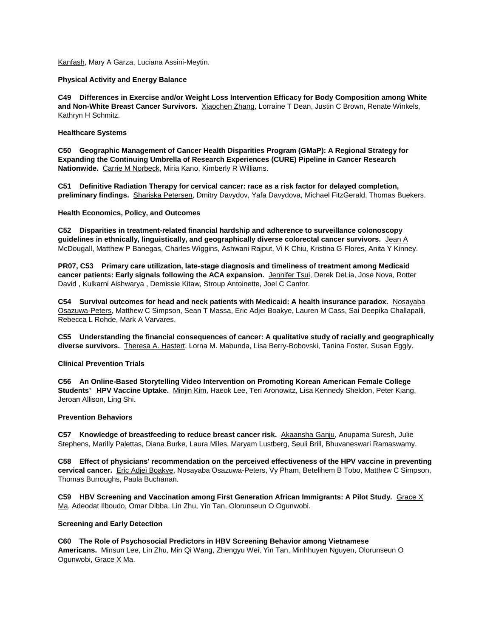Kanfash, Mary A Garza, Luciana Assini-Meytin.

### **Physical Activity and Energy Balance**

**C49 Differences in Exercise and/or Weight Loss Intervention Efficacy for Body Composition among White and Non-White Breast Cancer Survivors.** Xiaochen Zhang, Lorraine T Dean, Justin C Brown, Renate Winkels, Kathryn H Schmitz.

### **Healthcare Systems**

**C50 Geographic Management of Cancer Health Disparities Program (GMaP): A Regional Strategy for Expanding the Continuing Umbrella of Research Experiences (CURE) Pipeline in Cancer Research Nationwide.** Carrie M Norbeck, Miria Kano, Kimberly R Williams.

**C51 Definitive Radiation Therapy for cervical cancer: race as a risk factor for delayed completion, preliminary findings.** Shariska Petersen, Dmitry Davydov, Yafa Davydova, Michael FitzGerald, Thomas Buekers.

# **Health Economics, Policy, and Outcomes**

**C52 Disparities in treatment-related financial hardship and adherence to surveillance colonoscopy guidelines in ethnically, linguistically, and geographically diverse colorectal cancer survivors.** Jean A McDougall, Matthew P Banegas, Charles Wiggins, Ashwani Rajput, Vi K Chiu, Kristina G Flores, Anita Y Kinney.

**PR07, C53 Primary care utilization, late-stage diagnosis and timeliness of treatment among Medicaid**  cancer patients: Early signals following the ACA expansion. Jennifer Tsui, Derek DeLia, Jose Nova, Rotter David , Kulkarni Aishwarya , Demissie Kitaw, Stroup Antoinette, Joel C Cantor.

**C54 Survival outcomes for head and neck patients with Medicaid: A health insurance paradox.** Nosayaba Osazuwa-Peters, Matthew C Simpson, Sean T Massa, Eric Adjei Boakye, Lauren M Cass, Sai Deepika Challapalli, Rebecca L Rohde, Mark A Varvares.

**C55 Understanding the financial consequences of cancer: A qualitative study of racially and geographically diverse survivors.** Theresa A. Hastert, Lorna M. Mabunda, Lisa Berry-Bobovski, Tanina Foster, Susan Eggly.

# **Clinical Prevention Trials**

**C56 An Online-Based Storytelling Video Intervention on Promoting Korean American Female College Students' HPV Vaccine Uptake.** Minjin Kim, Haeok Lee, Teri Aronowitz, Lisa Kennedy Sheldon, Peter Kiang, Jeroan Allison, Ling Shi.

#### **Prevention Behaviors**

**C57 Knowledge of breastfeeding to reduce breast cancer risk.** Akaansha Ganju, Anupama Suresh, Julie Stephens, Marilly Palettas, Diana Burke, Laura Miles, Maryam Lustberg, Seuli Brill, Bhuvaneswari Ramaswamy.

**C58 Effect of physicians' recommendation on the perceived effectiveness of the HPV vaccine in preventing cervical cancer.** Eric Adjei Boakye, Nosayaba Osazuwa-Peters, Vy Pham, Betelihem B Tobo, Matthew C Simpson, Thomas Burroughs, Paula Buchanan.

**C59 HBV Screening and Vaccination among First Generation African Immigrants: A Pilot Study.** Grace X Ma, Adeodat Ilboudo, Omar Dibba, Lin Zhu, Yin Tan, Olorunseun O Ogunwobi.

#### **Screening and Early Detection**

**C60 The Role of Psychosocial Predictors in HBV Screening Behavior among Vietnamese Americans.** Minsun Lee, Lin Zhu, Min Qi Wang, Zhengyu Wei, Yin Tan, Minhhuyen Nguyen, Olorunseun O Ogunwobi, Grace X Ma.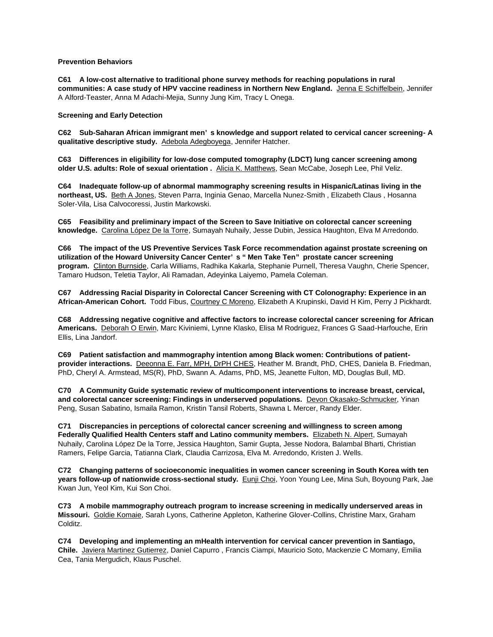# **Prevention Behaviors**

**C61 A low-cost alternative to traditional phone survey methods for reaching populations in rural**  communities: A case study of HPV vaccine readiness in Northern New England. Jenna E Schiffelbein, Jennifer A Alford-Teaster, Anna M Adachi-Mejia, Sunny Jung Kim, Tracy L Onega.

### **Screening and Early Detection**

**C62 Sub-Saharan African immigrant men' s knowledge and support related to cervical cancer screening- A qualitative descriptive study.** Adebola Adegboyega, Jennifer Hatcher.

**C63 Differences in eligibility for low-dose computed tomography (LDCT) lung cancer screening among older U.S. adults: Role of sexual orientation .** Alicia K. Matthews, Sean McCabe, Joseph Lee, Phil Veliz.

**C64 Inadequate follow-up of abnormal mammography screening results in Hispanic/Latinas living in the northeast, US.** Beth A Jones, Steven Parra, Inginia Genao, Marcella Nunez-Smith , Elizabeth Claus , Hosanna Soler-Vila, Lisa Calvocoressi, Justin Markowski.

**C65 Feasibility and preliminary impact of the Screen to Save Initiative on colorectal cancer screening knowledge.** Carolina López De la Torre, Sumayah Nuhaily, Jesse Dubin, Jessica Haughton, Elva M Arredondo.

**C66 The impact of the US Preventive Services Task Force recommendation against prostate screening on utilization of the Howard University Cancer Center' s " Men Take Ten" prostate cancer screening program.** Clinton Burnside, Carla Williams, Radhika Kakarla, Stephanie Purnell, Theresa Vaughn, Cherie Spencer, Tamaro Hudson, Teletia Taylor, Ali Ramadan, Adeyinka Laiyemo, Pamela Coleman.

**C67 Addressing Racial Disparity in Colorectal Cancer Screening with CT Colonography: Experience in an African-American Cohort.** Todd Fibus, Courtney C Moreno, Elizabeth A Krupinski, David H Kim, Perry J Pickhardt.

**C68 Addressing negative cognitive and affective factors to increase colorectal cancer screening for African Americans.** Deborah O Erwin, Marc Kiviniemi, Lynne Klasko, Elisa M Rodriguez, Frances G Saad-Harfouche, Erin Ellis, Lina Jandorf.

**C69 Patient satisfaction and mammography intention among Black women: Contributions of patientprovider interactions.** Deeonna E. Farr, MPH, DrPH CHES, Heather M. Brandt, PhD, CHES, Daniela B. Friedman, PhD, Cheryl A. Armstead, MS(R), PhD, Swann A. Adams, PhD, MS, Jeanette Fulton, MD, Douglas Bull, MD.

**C70 A Community Guide systematic review of multicomponent interventions to increase breast, cervical, and colorectal cancer screening: Findings in underserved populations.** Devon Okasako-Schmucker, Yinan Peng, Susan Sabatino, Ismaila Ramon, Kristin Tansil Roberts, Shawna L Mercer, Randy Elder.

**C71 Discrepancies in perceptions of colorectal cancer screening and willingness to screen among Federally Qualified Health Centers staff and Latino community members.** Elizabeth N. Alpert, Sumayah Nuhaily, Carolina López De la Torre, Jessica Haughton, Samir Gupta, Jesse Nodora, Balambal Bharti, Christian Ramers, Felipe Garcia, Tatianna Clark, Claudia Carrizosa, Elva M. Arredondo, Kristen J. Wells.

**C72 Changing patterns of socioeconomic inequalities in women cancer screening in South Korea with ten years follow-up of nationwide cross-sectional study.** Eunji Choi, Yoon Young Lee, Mina Suh, Boyoung Park, Jae Kwan Jun, Yeol Kim, Kui Son Choi.

**C73 A mobile mammography outreach program to increase screening in medically underserved areas in Missouri.** Goldie Komaie, Sarah Lyons, Catherine Appleton, Katherine Glover-Collins, Christine Marx, Graham Colditz.

**C74 Developing and implementing an mHealth intervention for cervical cancer prevention in Santiago, Chile.** Javiera Martinez Gutierrez, Daniel Capurro , Francis Ciampi, Mauricio Soto, Mackenzie C Momany, Emilia Cea, Tania Mergudich, Klaus Puschel.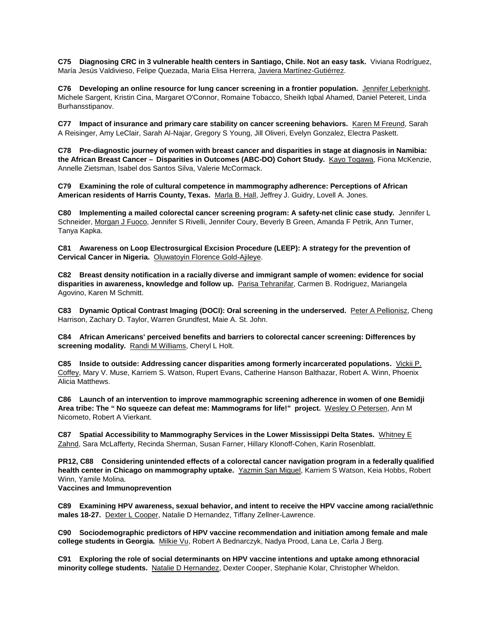**C75 Diagnosing CRC in 3 vulnerable health centers in Santiago, Chile. Not an easy task.** Viviana Rodríguez, María Jesús Valdivieso, Felipe Quezada, Maria Elisa Herrera, Javiera Martínez-Gutiérrez.

C76 Developing an online resource for lung cancer screening in a frontier population. Jennifer Leberknight, Michele Sargent, Kristin Cina, Margaret O'Connor, Romaine Tobacco, Sheikh Iqbal Ahamed, Daniel Petereit, Linda Burhansstipanov.

**C77 Impact of insurance and primary care stability on cancer screening behaviors. Karen M Freund, Sarah** A Reisinger, Amy LeClair, Sarah Al-Najar, Gregory S Young, Jill Oliveri, Evelyn Gonzalez, Electra Paskett.

**C78 Pre-diagnostic journey of women with breast cancer and disparities in stage at diagnosis in Namibia: the African Breast Cancer – Disparities in Outcomes (ABC-DO) Cohort Study.** Kayo Togawa, Fiona McKenzie, Annelle Zietsman, Isabel dos Santos Silva, Valerie McCormack.

**C79 Examining the role of cultural competence in mammography adherence: Perceptions of African American residents of Harris County, Texas.** Marla B. Hall, Jeffrey J. Guidry, Lovell A. Jones.

**C80 Implementing a mailed colorectal cancer screening program: A safety-net clinic case study.** Jennifer L Schneider, Morgan J Fuoco, Jennifer S Rivelli, Jennifer Coury, Beverly B Green, Amanda F Petrik, Ann Turner, Tanya Kapka.

**C81 Awareness on Loop Electrosurgical Excision Procedure (LEEP): A strategy for the prevention of Cervical Cancer in Nigeria.** Oluwatoyin Florence Gold-Ajileye.

**C82 Breast density notification in a racially diverse and immigrant sample of women: evidence for social disparities in awareness, knowledge and follow up.** Parisa Tehranifar, Carmen B. Rodriguez, Mariangela Agovino, Karen M Schmitt.

**C83 Dynamic Optical Contrast Imaging (DOCI): Oral screening in the underserved.** Peter A Pellionisz, Cheng Harrison, Zachary D. Taylor, Warren Grundfest, Maie A. St. John.

**C84 African Americans' perceived benefits and barriers to colorectal cancer screening: Differences by screening modality.** Randi M Williams, Cheryl L Holt.

**C85 Inside to outside: Addressing cancer disparities among formerly incarcerated populations.** Vickii P. Coffey, Mary V. Muse, Karriem S. Watson, Rupert Evans, Catherine Hanson Balthazar, Robert A. Winn, Phoenix Alicia Matthews.

**C86 Launch of an intervention to improve mammographic screening adherence in women of one Bemidji Area tribe: The " No squeeze can defeat me: Mammograms for life!" project.** Wesley O Petersen, Ann M Nicometo, Robert A Vierkant.

**C87 Spatial Accessibility to Mammography Services in the Lower Mississippi Delta States.** Whitney E Zahnd, Sara McLafferty, Recinda Sherman, Susan Farner, Hillary Klonoff-Cohen, Karin Rosenblatt.

**PR12, C88 Considering unintended effects of a colorectal cancer navigation program in a federally qualified health center in Chicago on mammography uptake.** Yazmin San Miguel, Karriem S Watson, Keia Hobbs, Robert Winn, Yamile Molina.

**Vaccines and Immunoprevention**

**C89 Examining HPV awareness, sexual behavior, and intent to receive the HPV vaccine among racial/ethnic males 18-27.** Dexter L Cooper, Natalie D Hernandez, Tiffany Zellner-Lawrence.

**C90 Sociodemographic predictors of HPV vaccine recommendation and initiation among female and male college students in Georgia.** Milkie Vu, Robert A Bednarczyk, Nadya Prood, Lana Le, Carla J Berg.

**C91 Exploring the role of social determinants on HPV vaccine intentions and uptake among ethnoracial minority college students.** Natalie D Hernandez, Dexter Cooper, Stephanie Kolar, Christopher Wheldon.